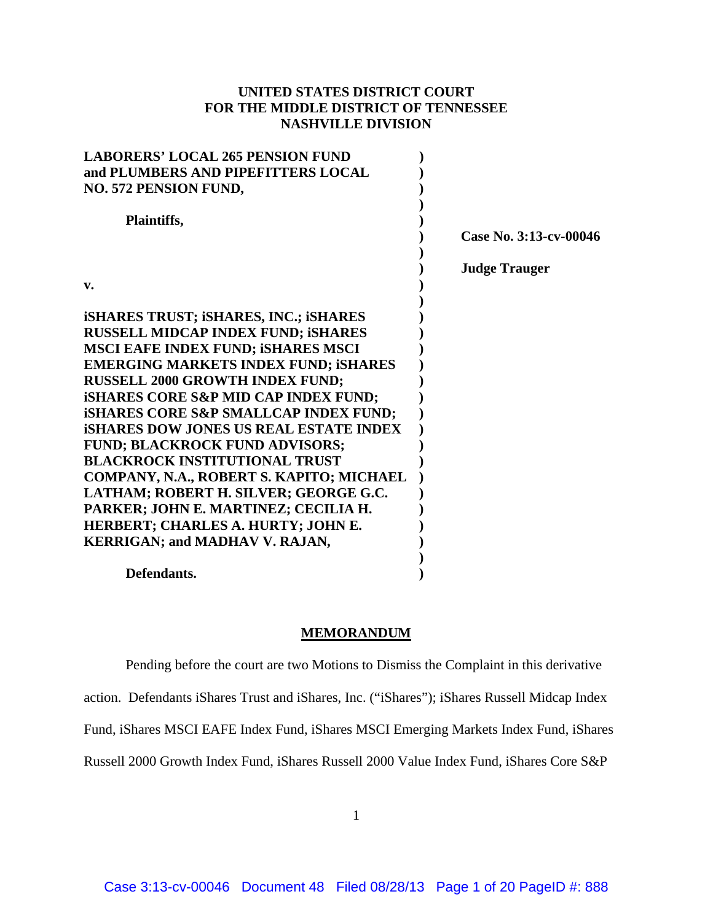# **UNITED STATES DISTRICT COURT FOR THE MIDDLE DISTRICT OF TENNESSEE NASHVILLE DIVISION**

| <b>LABORERS' LOCAL 265 PENSION FUND</b>          |                        |
|--------------------------------------------------|------------------------|
| and PLUMBERS AND PIPEFITTERS LOCAL               |                        |
| <b>NO. 572 PENSION FUND,</b>                     |                        |
|                                                  |                        |
| Plaintiffs,                                      |                        |
|                                                  | Case No. 3:13-cv-00046 |
|                                                  | <b>Judge Trauger</b>   |
| $V_{\bullet}$                                    |                        |
|                                                  |                        |
| <b>iSHARES TRUST; iSHARES, INC.; iSHARES</b>     |                        |
| <b>RUSSELL MIDCAP INDEX FUND; iSHARES</b>        |                        |
| <b>MSCI EAFE INDEX FUND; ISHARES MSCI</b>        |                        |
| <b>EMERGING MARKETS INDEX FUND; ISHARES</b>      |                        |
| <b>RUSSELL 2000 GROWTH INDEX FUND;</b>           |                        |
| <b>ISHARES CORE S&amp;P MID CAP INDEX FUND;</b>  |                        |
| <b>ISHARES CORE S&amp;P SMALLCAP INDEX FUND;</b> |                        |
| <b>ISHARES DOW JONES US REAL ESTATE INDEX</b>    |                        |
| <b>FUND; BLACKROCK FUND ADVISORS;</b>            |                        |
| <b>BLACKROCK INSTITUTIONAL TRUST</b>             |                        |
| COMPANY, N.A., ROBERT S. KAPITO; MICHAEL         |                        |
| LATHAM; ROBERT H. SILVER; GEORGE G.C.            |                        |
| PARKER; JOHN E. MARTINEZ; CECILIA H.             |                        |
| HERBERT; CHARLES A. HURTY; JOHN E.               |                        |
| <b>KERRIGAN; and MADHAV V. RAJAN,</b>            |                        |
|                                                  |                        |
| Defendants.                                      |                        |

### **MEMORANDUM**

Pending before the court are two Motions to Dismiss the Complaint in this derivative

action. Defendants iShares Trust and iShares, Inc. ("iShares"); iShares Russell Midcap Index

Fund, iShares MSCI EAFE Index Fund, iShares MSCI Emerging Markets Index Fund, iShares

Russell 2000 Growth Index Fund, iShares Russell 2000 Value Index Fund, iShares Core S&P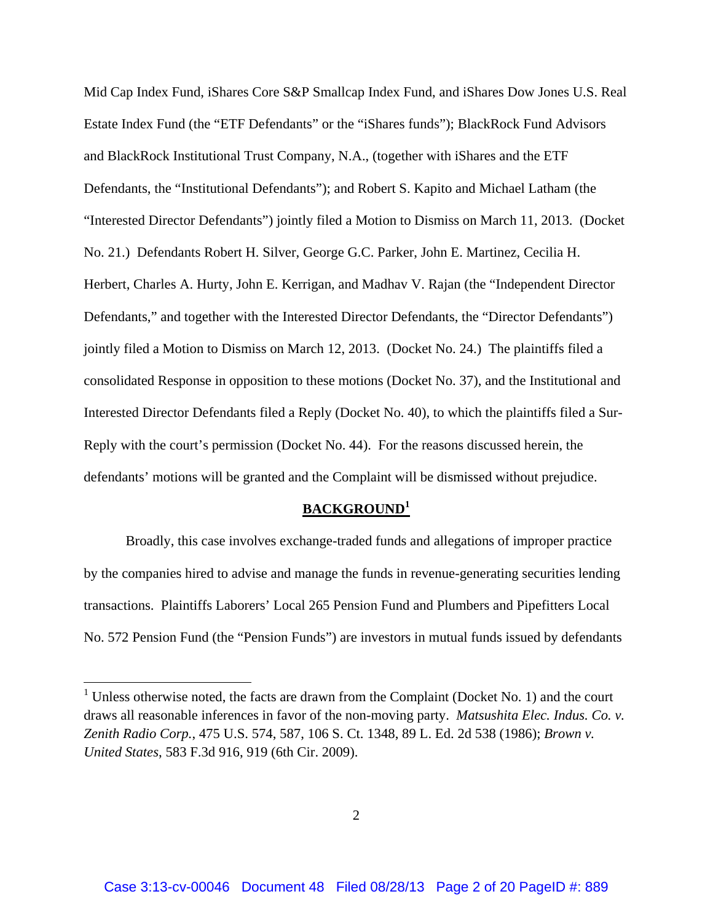Mid Cap Index Fund, iShares Core S&P Smallcap Index Fund, and iShares Dow Jones U.S. Real Estate Index Fund (the "ETF Defendants" or the "iShares funds"); BlackRock Fund Advisors and BlackRock Institutional Trust Company, N.A., (together with iShares and the ETF Defendants, the "Institutional Defendants"); and Robert S. Kapito and Michael Latham (the "Interested Director Defendants") jointly filed a Motion to Dismiss on March 11, 2013. (Docket No. 21.) Defendants Robert H. Silver, George G.C. Parker, John E. Martinez, Cecilia H. Herbert, Charles A. Hurty, John E. Kerrigan, and Madhav V. Rajan (the "Independent Director Defendants," and together with the Interested Director Defendants, the "Director Defendants") jointly filed a Motion to Dismiss on March 12, 2013. (Docket No. 24.) The plaintiffs filed a consolidated Response in opposition to these motions (Docket No. 37), and the Institutional and Interested Director Defendants filed a Reply (Docket No. 40), to which the plaintiffs filed a Sur-Reply with the court's permission (Docket No. 44). For the reasons discussed herein, the defendants' motions will be granted and the Complaint will be dismissed without prejudice.

### **BACKGROUND<sup>1</sup>**

Broadly, this case involves exchange-traded funds and allegations of improper practice by the companies hired to advise and manage the funds in revenue-generating securities lending transactions. Plaintiffs Laborers' Local 265 Pension Fund and Plumbers and Pipefitters Local No. 572 Pension Fund (the "Pension Funds") are investors in mutual funds issued by defendants

<sup>&</sup>lt;sup>1</sup> Unless otherwise noted, the facts are drawn from the Complaint (Docket No. 1) and the court draws all reasonable inferences in favor of the non-moving party. *Matsushita Elec. Indus. Co. v. Zenith Radio Corp.*, 475 U.S. 574, 587, 106 S. Ct. 1348, 89 L. Ed. 2d 538 (1986); *Brown v. United States*, 583 F.3d 916, 919 (6th Cir. 2009).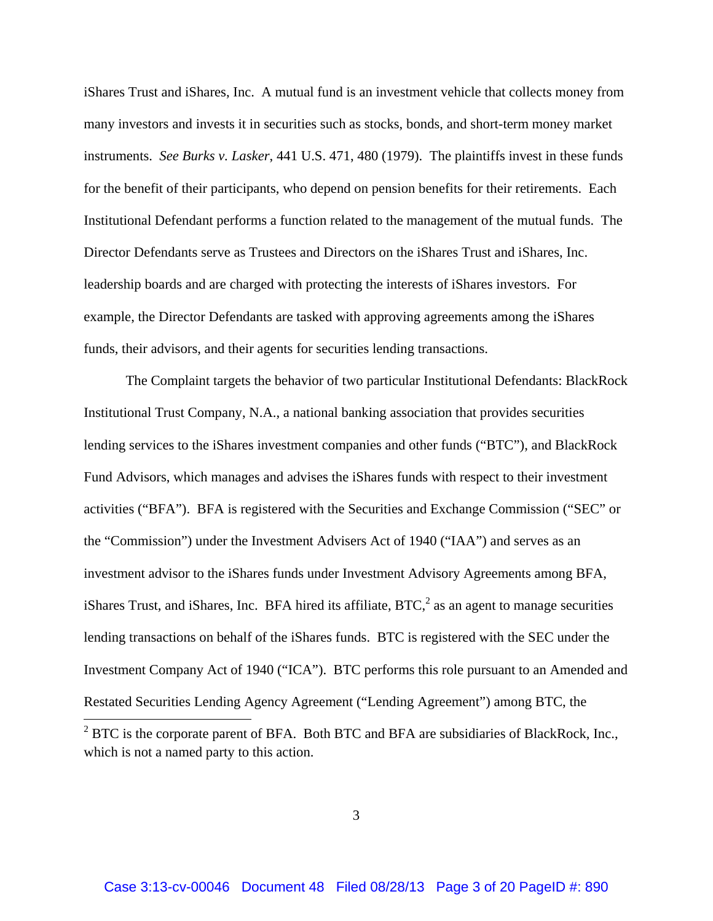iShares Trust and iShares, Inc. A mutual fund is an investment vehicle that collects money from many investors and invests it in securities such as stocks, bonds, and short-term money market instruments. *See Burks v. Lasker*, 441 U.S. 471, 480 (1979). The plaintiffs invest in these funds for the benefit of their participants, who depend on pension benefits for their retirements. Each Institutional Defendant performs a function related to the management of the mutual funds. The Director Defendants serve as Trustees and Directors on the iShares Trust and iShares, Inc. leadership boards and are charged with protecting the interests of iShares investors. For example, the Director Defendants are tasked with approving agreements among the iShares funds, their advisors, and their agents for securities lending transactions.

The Complaint targets the behavior of two particular Institutional Defendants: BlackRock Institutional Trust Company, N.A., a national banking association that provides securities lending services to the iShares investment companies and other funds ("BTC"), and BlackRock Fund Advisors, which manages and advises the iShares funds with respect to their investment activities ("BFA"). BFA is registered with the Securities and Exchange Commission ("SEC" or the "Commission") under the Investment Advisers Act of 1940 ("IAA") and serves as an investment advisor to the iShares funds under Investment Advisory Agreements among BFA, iShares Trust, and iShares, Inc. BFA hired its affiliate,  $BTC<sup>2</sup>$  as an agent to manage securities lending transactions on behalf of the iShares funds. BTC is registered with the SEC under the Investment Company Act of 1940 ("ICA"). BTC performs this role pursuant to an Amended and Restated Securities Lending Agency Agreement ("Lending Agreement") among BTC, the

<sup>&</sup>lt;sup>2</sup> BTC is the corporate parent of BFA. Both BTC and BFA are subsidiaries of BlackRock, Inc., which is not a named party to this action.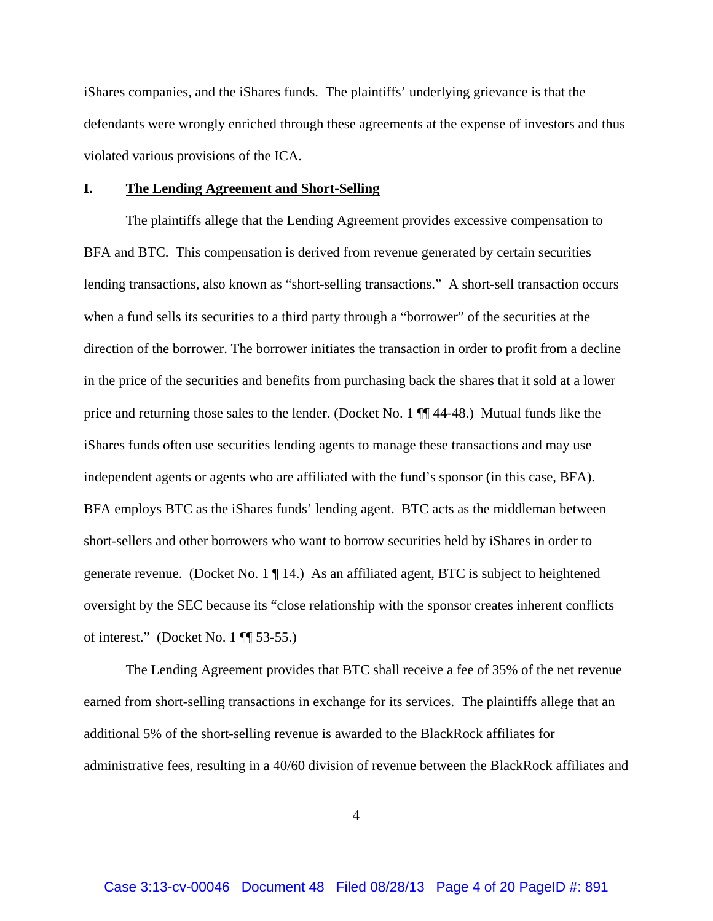iShares companies, and the iShares funds. The plaintiffs' underlying grievance is that the defendants were wrongly enriched through these agreements at the expense of investors and thus violated various provisions of the ICA.

### **I. The Lending Agreement and Short-Selling**

The plaintiffs allege that the Lending Agreement provides excessive compensation to BFA and BTC. This compensation is derived from revenue generated by certain securities lending transactions, also known as "short-selling transactions." A short-sell transaction occurs when a fund sells its securities to a third party through a "borrower" of the securities at the direction of the borrower. The borrower initiates the transaction in order to profit from a decline in the price of the securities and benefits from purchasing back the shares that it sold at a lower price and returning those sales to the lender. (Docket No. 1 ¶¶ 44-48.) Mutual funds like the iShares funds often use securities lending agents to manage these transactions and may use independent agents or agents who are affiliated with the fund's sponsor (in this case, BFA). BFA employs BTC as the iShares funds' lending agent. BTC acts as the middleman between short-sellers and other borrowers who want to borrow securities held by iShares in order to generate revenue. (Docket No. 1 ¶ 14.) As an affiliated agent, BTC is subject to heightened oversight by the SEC because its "close relationship with the sponsor creates inherent conflicts of interest." (Docket No. 1 ¶¶ 53-55.)

The Lending Agreement provides that BTC shall receive a fee of 35% of the net revenue earned from short-selling transactions in exchange for its services. The plaintiffs allege that an additional 5% of the short-selling revenue is awarded to the BlackRock affiliates for administrative fees, resulting in a 40/60 division of revenue between the BlackRock affiliates and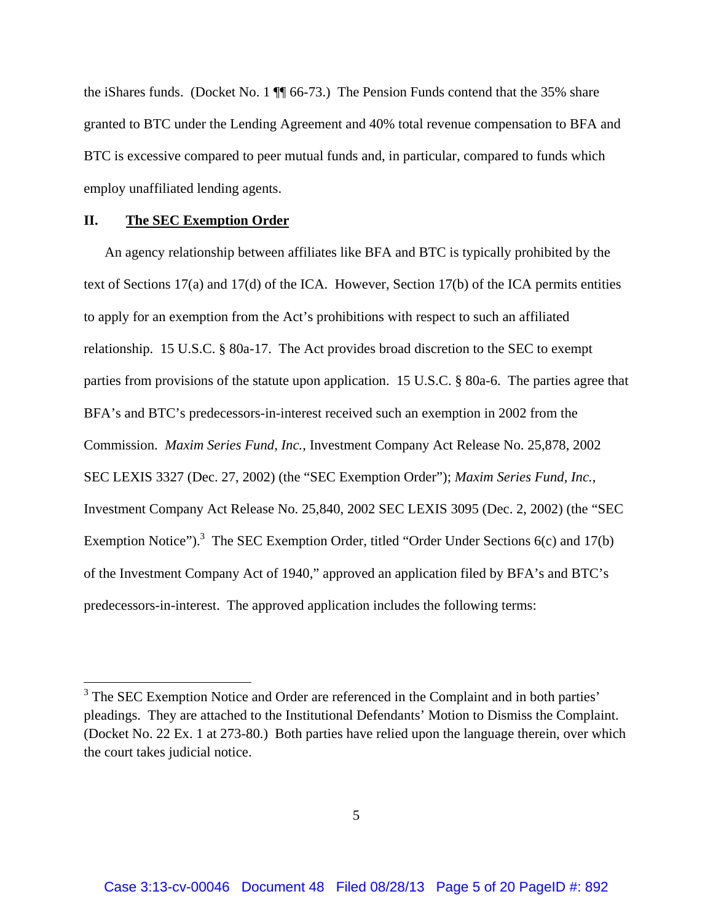the iShares funds. (Docket No. 1 ¶¶ 66-73.) The Pension Funds contend that the 35% share granted to BTC under the Lending Agreement and 40% total revenue compensation to BFA and BTC is excessive compared to peer mutual funds and, in particular, compared to funds which employ unaffiliated lending agents.

## **II. The SEC Exemption Order**

 $\overline{\phantom{a}}$ 

An agency relationship between affiliates like BFA and BTC is typically prohibited by the text of Sections 17(a) and 17(d) of the ICA. However, Section 17(b) of the ICA permits entities to apply for an exemption from the Act's prohibitions with respect to such an affiliated relationship. 15 U.S.C. § 80a-17. The Act provides broad discretion to the SEC to exempt parties from provisions of the statute upon application. 15 U.S.C. § 80a-6. The parties agree that BFA's and BTC's predecessors-in-interest received such an exemption in 2002 from the Commission. *Maxim Series Fund, Inc.*, Investment Company Act Release No. 25,878, 2002 SEC LEXIS 3327 (Dec. 27, 2002) (the "SEC Exemption Order"); *Maxim Series Fund, Inc.*, Investment Company Act Release No. 25,840, 2002 SEC LEXIS 3095 (Dec. 2, 2002) (the "SEC Exemption Notice").<sup>3</sup> The SEC Exemption Order, titled "Order Under Sections  $6(c)$  and  $17(b)$ of the Investment Company Act of 1940," approved an application filed by BFA's and BTC's predecessors-in-interest. The approved application includes the following terms:

<sup>&</sup>lt;sup>3</sup> The SEC Exemption Notice and Order are referenced in the Complaint and in both parties' pleadings. They are attached to the Institutional Defendants' Motion to Dismiss the Complaint. (Docket No. 22 Ex. 1 at 273-80.) Both parties have relied upon the language therein, over which the court takes judicial notice.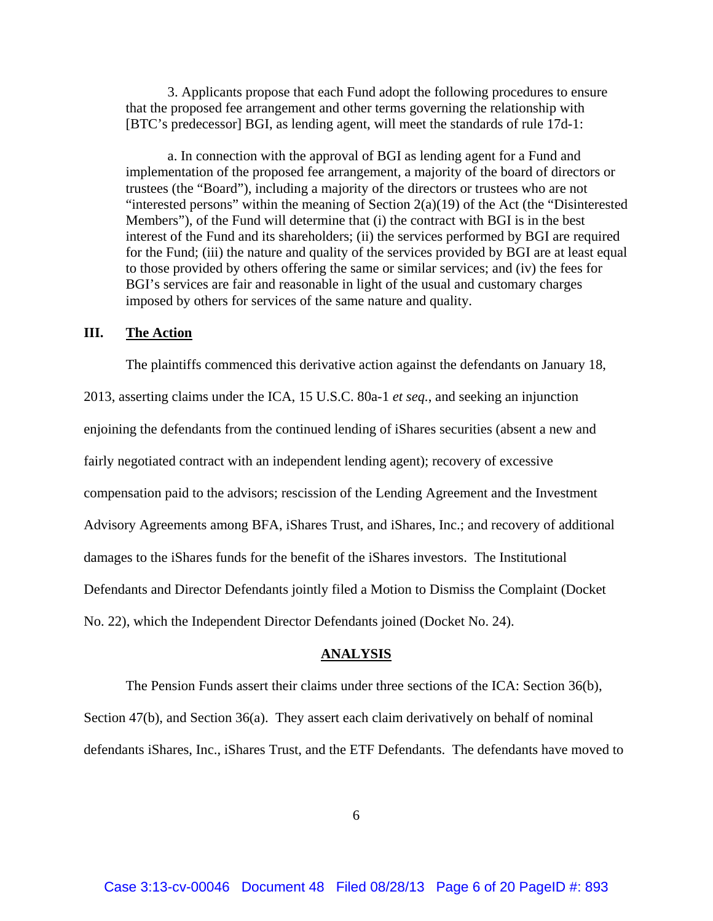3. Applicants propose that each Fund adopt the following procedures to ensure that the proposed fee arrangement and other terms governing the relationship with [BTC's predecessor] BGI, as lending agent, will meet the standards of rule 17d-1:

 a. In connection with the approval of BGI as lending agent for a Fund and implementation of the proposed fee arrangement, a majority of the board of directors or trustees (the "Board"), including a majority of the directors or trustees who are not "interested persons" within the meaning of Section  $2(a)(19)$  of the Act (the "Disinterested Members"), of the Fund will determine that (i) the contract with BGI is in the best interest of the Fund and its shareholders; (ii) the services performed by BGI are required for the Fund; (iii) the nature and quality of the services provided by BGI are at least equal to those provided by others offering the same or similar services; and (iv) the fees for BGI's services are fair and reasonable in light of the usual and customary charges imposed by others for services of the same nature and quality.

## **III. The Action**

The plaintiffs commenced this derivative action against the defendants on January 18,

2013, asserting claims under the ICA, 15 U.S.C. 80a-1 *et seq.*, and seeking an injunction enjoining the defendants from the continued lending of iShares securities (absent a new and fairly negotiated contract with an independent lending agent); recovery of excessive compensation paid to the advisors; rescission of the Lending Agreement and the Investment Advisory Agreements among BFA, iShares Trust, and iShares, Inc.; and recovery of additional damages to the iShares funds for the benefit of the iShares investors. The Institutional Defendants and Director Defendants jointly filed a Motion to Dismiss the Complaint (Docket No. 22), which the Independent Director Defendants joined (Docket No. 24).

### **ANALYSIS**

The Pension Funds assert their claims under three sections of the ICA: Section 36(b), Section 47(b), and Section 36(a). They assert each claim derivatively on behalf of nominal defendants iShares, Inc., iShares Trust, and the ETF Defendants. The defendants have moved to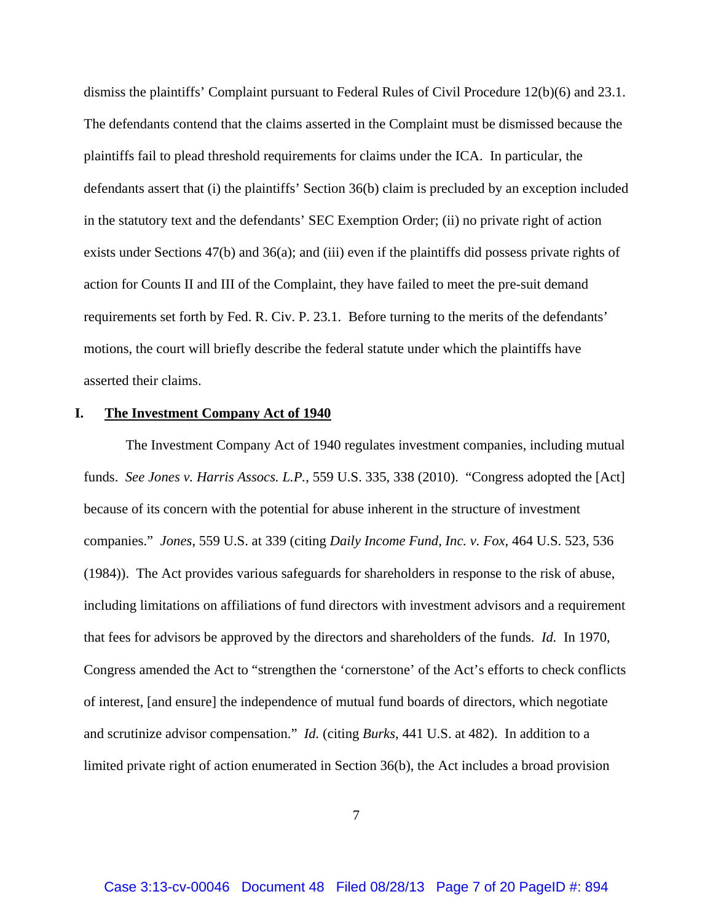dismiss the plaintiffs' Complaint pursuant to Federal Rules of Civil Procedure 12(b)(6) and 23.1. The defendants contend that the claims asserted in the Complaint must be dismissed because the plaintiffs fail to plead threshold requirements for claims under the ICA. In particular, the defendants assert that (i) the plaintiffs' Section 36(b) claim is precluded by an exception included in the statutory text and the defendants' SEC Exemption Order; (ii) no private right of action exists under Sections 47(b) and 36(a); and (iii) even if the plaintiffs did possess private rights of action for Counts II and III of the Complaint, they have failed to meet the pre-suit demand requirements set forth by Fed. R. Civ. P. 23.1. Before turning to the merits of the defendants' motions, the court will briefly describe the federal statute under which the plaintiffs have asserted their claims.

#### **I. The Investment Company Act of 1940**

The Investment Company Act of 1940 regulates investment companies, including mutual funds. *See Jones v. Harris Assocs. L.P.*, 559 U.S. 335, 338 (2010). "Congress adopted the [Act] because of its concern with the potential for abuse inherent in the structure of investment companies." *Jones*, 559 U.S. at 339 (citing *Daily Income Fund, Inc. v. Fox,* 464 U.S. 523, 536 (1984)). The Act provides various safeguards for shareholders in response to the risk of abuse, including limitations on affiliations of fund directors with investment advisors and a requirement that fees for advisors be approved by the directors and shareholders of the funds. *Id.* In 1970, Congress amended the Act to "strengthen the 'cornerstone' of the Act's efforts to check conflicts of interest, [and ensure] the independence of mutual fund boards of directors, which negotiate and scrutinize advisor compensation." *Id.* (citing *Burks*, 441 U.S. at 482). In addition to a limited private right of action enumerated in Section 36(b), the Act includes a broad provision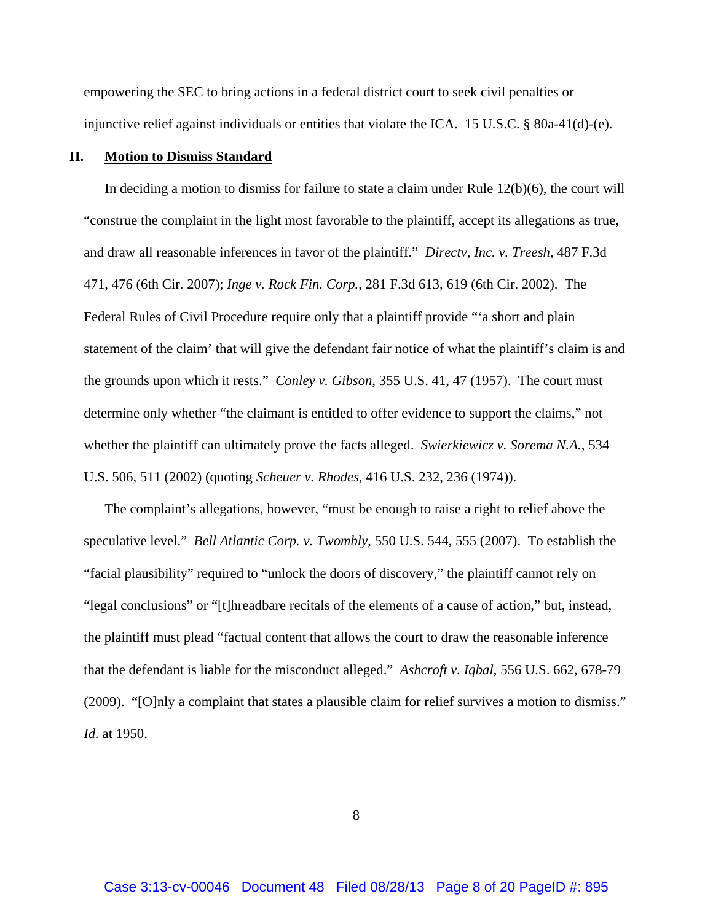empowering the SEC to bring actions in a federal district court to seek civil penalties or injunctive relief against individuals or entities that violate the ICA. 15 U.S.C. § 80a-41(d)-(e).

## **II. Motion to Dismiss Standard**

In deciding a motion to dismiss for failure to state a claim under Rule 12(b)(6), the court will "construe the complaint in the light most favorable to the plaintiff, accept its allegations as true, and draw all reasonable inferences in favor of the plaintiff." *Directv, Inc. v. Treesh*, 487 F.3d 471, 476 (6th Cir. 2007); *Inge v. Rock Fin. Corp.*, 281 F.3d 613, 619 (6th Cir. 2002). The Federal Rules of Civil Procedure require only that a plaintiff provide "'a short and plain statement of the claim' that will give the defendant fair notice of what the plaintiff's claim is and the grounds upon which it rests." *Conley v. Gibson*, 355 U.S. 41, 47 (1957). The court must determine only whether "the claimant is entitled to offer evidence to support the claims," not whether the plaintiff can ultimately prove the facts alleged. *Swierkiewicz v. Sorema N.A.*, 534 U.S. 506, 511 (2002) (quoting *Scheuer v. Rhodes*, 416 U.S. 232, 236 (1974)).

The complaint's allegations, however, "must be enough to raise a right to relief above the speculative level." *Bell Atlantic Corp. v. Twombly*, 550 U.S. 544, 555 (2007). To establish the "facial plausibility" required to "unlock the doors of discovery," the plaintiff cannot rely on "legal conclusions" or "[t]hreadbare recitals of the elements of a cause of action," but, instead, the plaintiff must plead "factual content that allows the court to draw the reasonable inference that the defendant is liable for the misconduct alleged." *Ashcroft v. Iqbal*, 556 U.S. 662, 678-79 (2009). "[O]nly a complaint that states a plausible claim for relief survives a motion to dismiss." *Id.* at 1950.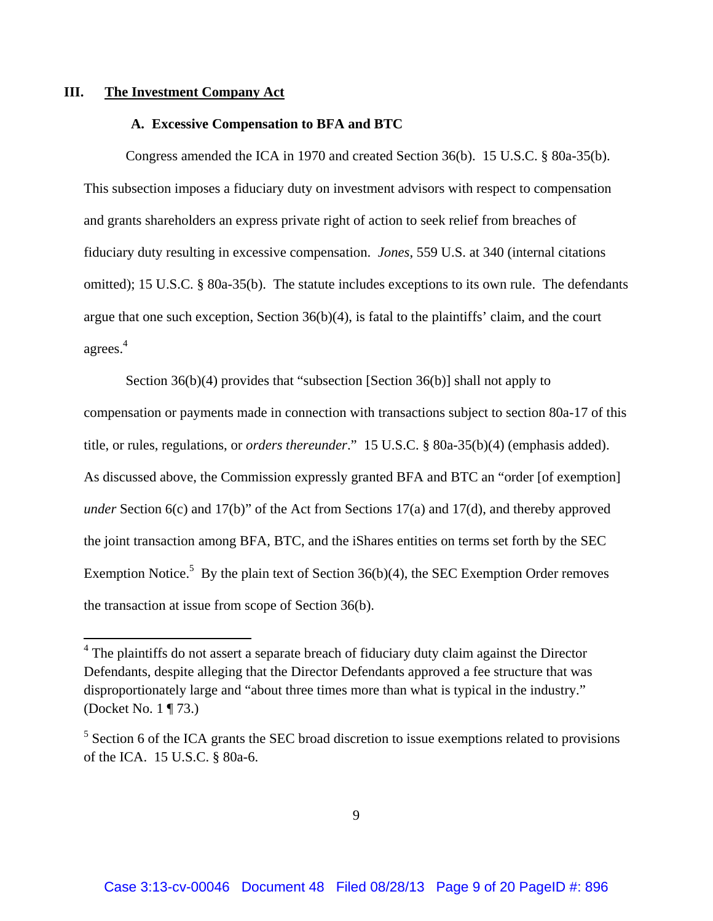### **III. The Investment Company Act**

 $\overline{a}$ 

### **A. Excessive Compensation to BFA and BTC**

Congress amended the ICA in 1970 and created Section 36(b). 15 U.S.C. § 80a-35(b). This subsection imposes a fiduciary duty on investment advisors with respect to compensation and grants shareholders an express private right of action to seek relief from breaches of fiduciary duty resulting in excessive compensation. *Jones*, 559 U.S. at 340 (internal citations omitted); 15 U.S.C. § 80a-35(b). The statute includes exceptions to its own rule. The defendants argue that one such exception, Section 36(b)(4), is fatal to the plaintiffs' claim, and the court agrees. 4

Section 36(b)(4) provides that "subsection [Section 36(b)] shall not apply to compensation or payments made in connection with transactions subject to section 80a-17 of this title, or rules, regulations, or *orders thereunder*." 15 U.S.C. § 80a-35(b)(4) (emphasis added). As discussed above, the Commission expressly granted BFA and BTC an "order [of exemption] *under* Section 6(c) and 17(b)" of the Act from Sections 17(a) and 17(d), and thereby approved the joint transaction among BFA, BTC, and the iShares entities on terms set forth by the SEC Exemption Notice.<sup>5</sup> By the plain text of Section  $36(b)(4)$ , the SEC Exemption Order removes the transaction at issue from scope of Section 36(b).

<sup>&</sup>lt;sup>4</sup> The plaintiffs do not assert a separate breach of fiduciary duty claim against the Director Defendants, despite alleging that the Director Defendants approved a fee structure that was disproportionately large and "about three times more than what is typical in the industry." (Docket No. 1 ¶ 73.)

 $<sup>5</sup>$  Section 6 of the ICA grants the SEC broad discretion to issue exemptions related to provisions</sup> of the ICA. 15 U.S.C. § 80a-6.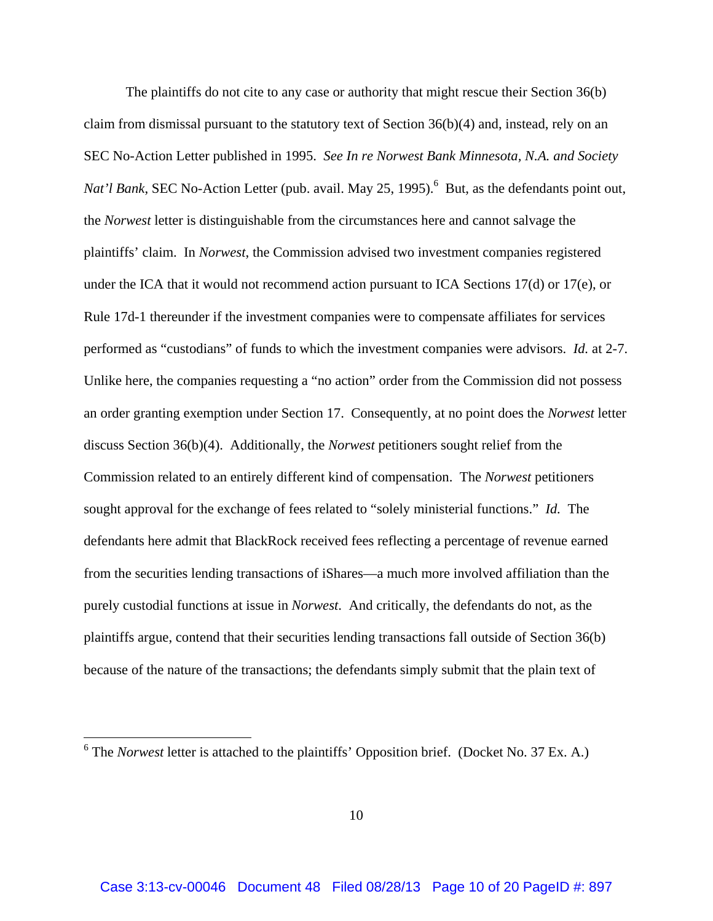The plaintiffs do not cite to any case or authority that might rescue their Section 36(b) claim from dismissal pursuant to the statutory text of Section  $36(b)(4)$  and, instead, rely on an SEC No-Action Letter published in 1995. *See In re Norwest Bank Minnesota, N.A. and Society Nat'l Bank*, SEC No-Action Letter (pub. avail. May 25, 1995).<sup>6</sup> But, as the defendants point out, the *Norwest* letter is distinguishable from the circumstances here and cannot salvage the plaintiffs' claim. In *Norwest*, the Commission advised two investment companies registered under the ICA that it would not recommend action pursuant to ICA Sections 17(d) or 17(e), or Rule 17d-1 thereunder if the investment companies were to compensate affiliates for services performed as "custodians" of funds to which the investment companies were advisors. *Id.* at 2-7. Unlike here, the companies requesting a "no action" order from the Commission did not possess an order granting exemption under Section 17. Consequently, at no point does the *Norwest* letter discuss Section 36(b)(4). Additionally, the *Norwest* petitioners sought relief from the Commission related to an entirely different kind of compensation. The *Norwest* petitioners sought approval for the exchange of fees related to "solely ministerial functions." *Id.* The defendants here admit that BlackRock received fees reflecting a percentage of revenue earned from the securities lending transactions of iShares—a much more involved affiliation than the purely custodial functions at issue in *Norwest*. And critically, the defendants do not, as the plaintiffs argue, contend that their securities lending transactions fall outside of Section 36(b) because of the nature of the transactions; the defendants simply submit that the plain text of

<sup>&</sup>lt;sup>6</sup> The *Norwest* letter is attached to the plaintiffs' Opposition brief. (Docket No. 37 Ex. A.)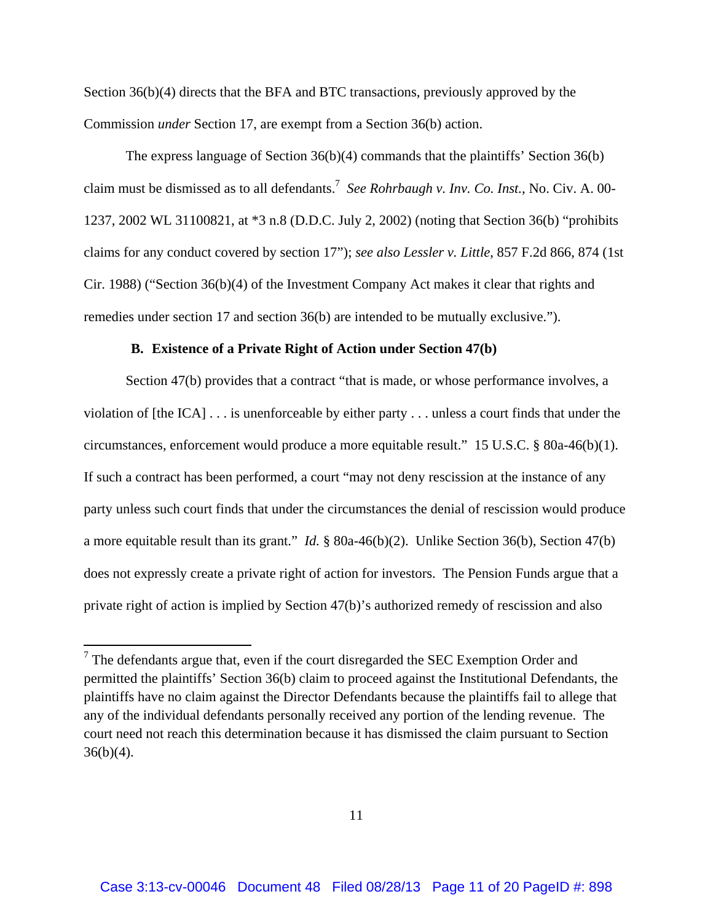Section 36(b)(4) directs that the BFA and BTC transactions, previously approved by the Commission *under* Section 17, are exempt from a Section 36(b) action.

The express language of Section 36(b)(4) commands that the plaintiffs' Section 36(b) claim must be dismissed as to all defendants.7 *See Rohrbaugh v. Inv. Co. Inst.*, No. Civ. A. 00- 1237, 2002 WL 31100821, at \*3 n.8 (D.D.C. July 2, 2002) (noting that Section 36(b) "prohibits claims for any conduct covered by section 17"); *see also Lessler v. Little*, 857 F.2d 866, 874 (1st Cir. 1988) ("Section 36(b)(4) of the Investment Company Act makes it clear that rights and remedies under section 17 and section 36(b) are intended to be mutually exclusive.").

### **B. Existence of a Private Right of Action under Section 47(b)**

Section 47(b) provides that a contract "that is made, or whose performance involves, a violation of [the ICA] . . . is unenforceable by either party . . . unless a court finds that under the circumstances, enforcement would produce a more equitable result." 15 U.S.C. § 80a-46(b)(1). If such a contract has been performed, a court "may not deny rescission at the instance of any party unless such court finds that under the circumstances the denial of rescission would produce a more equitable result than its grant." *Id.* § 80a-46(b)(2). Unlike Section 36(b), Section 47(b) does not expressly create a private right of action for investors. The Pension Funds argue that a private right of action is implied by Section 47(b)'s authorized remedy of rescission and also

 $\overline{\phantom{a}}$ 

 $7$  The defendants argue that, even if the court disregarded the SEC Exemption Order and permitted the plaintiffs' Section 36(b) claim to proceed against the Institutional Defendants, the plaintiffs have no claim against the Director Defendants because the plaintiffs fail to allege that any of the individual defendants personally received any portion of the lending revenue. The court need not reach this determination because it has dismissed the claim pursuant to Section  $36(b)(4)$ .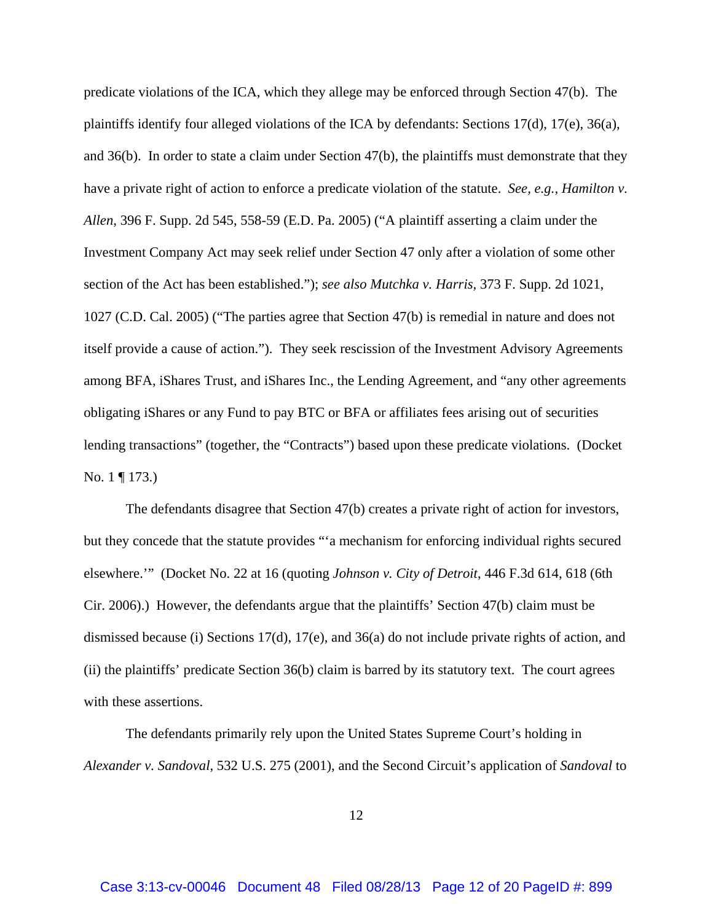predicate violations of the ICA, which they allege may be enforced through Section 47(b). The plaintiffs identify four alleged violations of the ICA by defendants: Sections  $17(d)$ ,  $17(e)$ ,  $36(a)$ , and 36(b). In order to state a claim under Section 47(b), the plaintiffs must demonstrate that they have a private right of action to enforce a predicate violation of the statute. *See, e.g.*, *Hamilton v. Allen*, 396 F. Supp. 2d 545, 558-59 (E.D. Pa. 2005) ("A plaintiff asserting a claim under the Investment Company Act may seek relief under Section 47 only after a violation of some other section of the Act has been established."); *see also Mutchka v. Harris,* 373 F. Supp. 2d 1021, 1027 (C.D. Cal. 2005) ("The parties agree that Section 47(b) is remedial in nature and does not itself provide a cause of action."). They seek rescission of the Investment Advisory Agreements among BFA, iShares Trust, and iShares Inc., the Lending Agreement, and "any other agreements obligating iShares or any Fund to pay BTC or BFA or affiliates fees arising out of securities lending transactions" (together, the "Contracts") based upon these predicate violations. (Docket No. 1 ¶ 173.)

The defendants disagree that Section 47(b) creates a private right of action for investors, but they concede that the statute provides "'a mechanism for enforcing individual rights secured elsewhere.'" (Docket No. 22 at 16 (quoting *Johnson v. City of Detroit*, 446 F.3d 614, 618 (6th Cir. 2006).) However, the defendants argue that the plaintiffs' Section 47(b) claim must be dismissed because (i) Sections 17(d), 17(e), and 36(a) do not include private rights of action, and (ii) the plaintiffs' predicate Section 36(b) claim is barred by its statutory text. The court agrees with these assertions.

The defendants primarily rely upon the United States Supreme Court's holding in *Alexander v. Sandoval*, 532 U.S. 275 (2001), and the Second Circuit's application of *Sandoval* to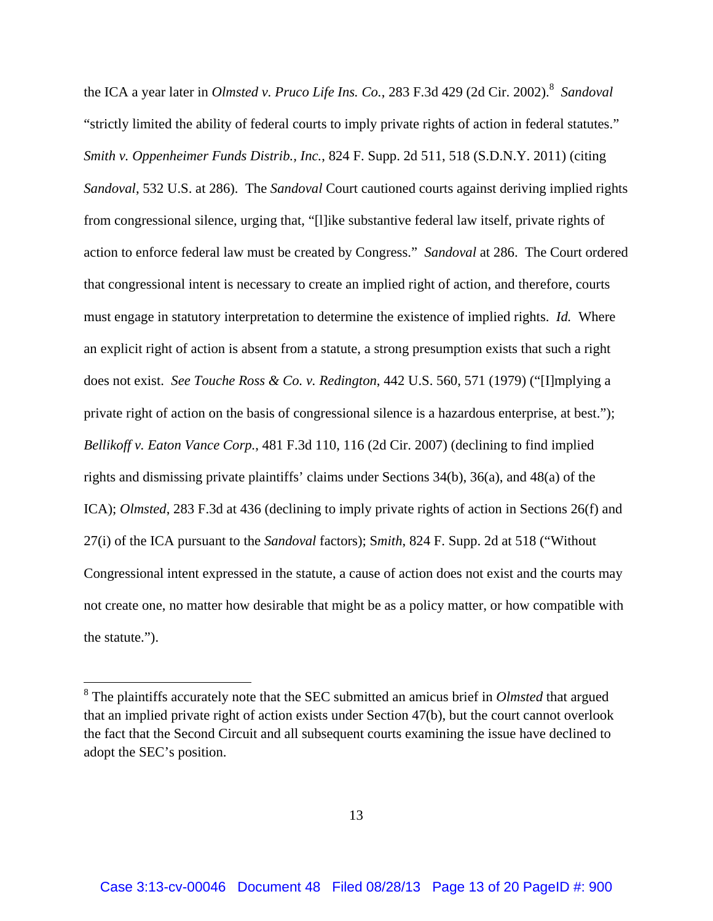the ICA a year later in *Olmsted v. Pruco Life Ins. Co.*, 283 F.3d 429 (2d Cir. 2002).<sup>8</sup> Sandoval "strictly limited the ability of federal courts to imply private rights of action in federal statutes." *Smith v. Oppenheimer Funds Distrib., Inc.*, 824 F. Supp. 2d 511, 518 (S.D.N.Y. 2011) (citing *Sandoval*, 532 U.S. at 286). The *Sandoval* Court cautioned courts against deriving implied rights from congressional silence, urging that, "[l]ike substantive federal law itself, private rights of action to enforce federal law must be created by Congress." *Sandoval* at 286. The Court ordered that congressional intent is necessary to create an implied right of action, and therefore, courts must engage in statutory interpretation to determine the existence of implied rights. *Id.* Where an explicit right of action is absent from a statute, a strong presumption exists that such a right does not exist. *See Touche Ross & Co. v. Redington*, 442 U.S. 560, 571 (1979) ("[I]mplying a private right of action on the basis of congressional silence is a hazardous enterprise, at best."); *Bellikoff v. Eaton Vance Corp.*, 481 F.3d 110, 116 (2d Cir. 2007) (declining to find implied rights and dismissing private plaintiffs' claims under Sections 34(b), 36(a), and 48(a) of the ICA); *Olmsted*, 283 F.3d at 436 (declining to imply private rights of action in Sections 26(f) and 27(i) of the ICA pursuant to the *Sandoval* factors); S*mith*, 824 F. Supp. 2d at 518 ("Without Congressional intent expressed in the statute, a cause of action does not exist and the courts may not create one, no matter how desirable that might be as a policy matter, or how compatible with the statute.").

 $\overline{\phantom{a}}$ 

<sup>8</sup> The plaintiffs accurately note that the SEC submitted an amicus brief in *Olmsted* that argued that an implied private right of action exists under Section 47(b), but the court cannot overlook the fact that the Second Circuit and all subsequent courts examining the issue have declined to adopt the SEC's position.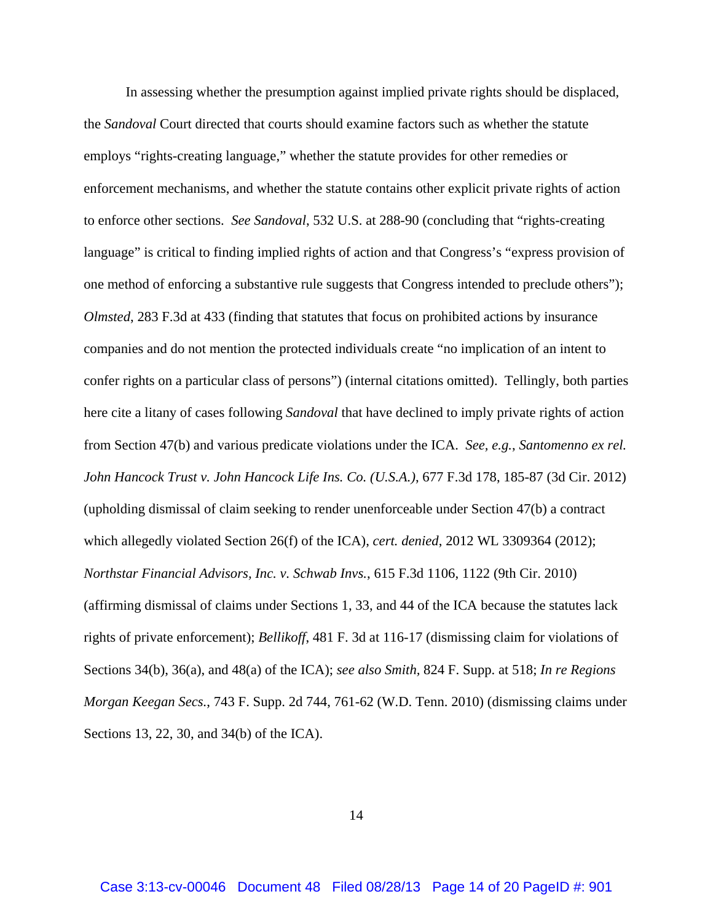In assessing whether the presumption against implied private rights should be displaced, the *Sandoval* Court directed that courts should examine factors such as whether the statute employs "rights-creating language," whether the statute provides for other remedies or enforcement mechanisms, and whether the statute contains other explicit private rights of action to enforce other sections. *See Sandoval*, 532 U.S. at 288-90 (concluding that "rights-creating language" is critical to finding implied rights of action and that Congress's "express provision of one method of enforcing a substantive rule suggests that Congress intended to preclude others"); *Olmsted*, 283 F.3d at 433 (finding that statutes that focus on prohibited actions by insurance companies and do not mention the protected individuals create "no implication of an intent to confer rights on a particular class of persons") (internal citations omitted). Tellingly, both parties here cite a litany of cases following *Sandoval* that have declined to imply private rights of action from Section 47(b) and various predicate violations under the ICA. *See, e.g.*, *Santomenno ex rel. John Hancock Trust v. John Hancock Life Ins. Co. (U.S.A.)*, 677 F.3d 178, 185-87 (3d Cir. 2012) (upholding dismissal of claim seeking to render unenforceable under Section 47(b) a contract which allegedly violated Section 26(f) of the ICA), *cert. denied*, 2012 WL 3309364 (2012); *Northstar Financial Advisors, Inc. v. Schwab Invs.*, 615 F.3d 1106, 1122 (9th Cir. 2010) (affirming dismissal of claims under Sections 1, 33, and 44 of the ICA because the statutes lack rights of private enforcement); *Bellikoff*, 481 F. 3d at 116-17 (dismissing claim for violations of Sections 34(b), 36(a), and 48(a) of the ICA); *see also Smith,* 824 F. Supp. at 518; *In re Regions Morgan Keegan Secs.*, 743 F. Supp. 2d 744, 761-62 (W.D. Tenn. 2010) (dismissing claims under Sections 13, 22, 30, and 34(b) of the ICA).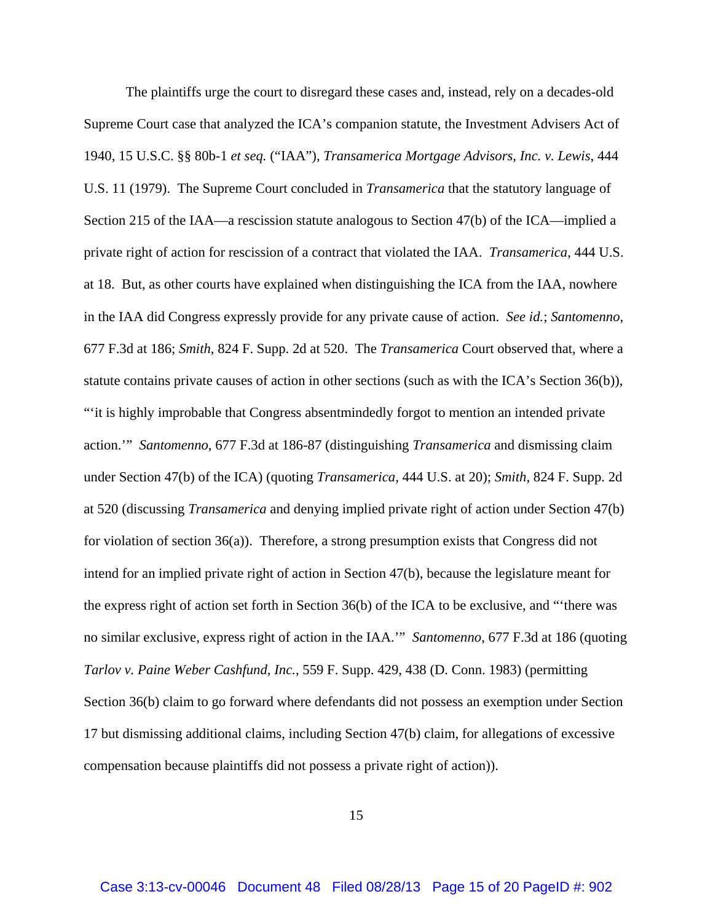The plaintiffs urge the court to disregard these cases and, instead, rely on a decades-old Supreme Court case that analyzed the ICA's companion statute, the Investment Advisers Act of 1940, 15 U.S.C. §§ 80b-1 *et seq.* ("IAA"), *Transamerica Mortgage Advisors, Inc. v. Lewis*, 444 U.S. 11 (1979). The Supreme Court concluded in *Transamerica* that the statutory language of Section 215 of the IAA—a rescission statute analogous to Section 47(b) of the ICA—implied a private right of action for rescission of a contract that violated the IAA. *Transamerica*, 444 U.S. at 18. But, as other courts have explained when distinguishing the ICA from the IAA, nowhere in the IAA did Congress expressly provide for any private cause of action. *See id.*; *Santomenno*, 677 F.3d at 186; *Smith*, 824 F. Supp. 2d at 520. The *Transamerica* Court observed that, where a statute contains private causes of action in other sections (such as with the ICA's Section 36(b)), "'it is highly improbable that Congress absentmindedly forgot to mention an intended private action.'" *Santomenno*, 677 F.3d at 186-87 (distinguishing *Transamerica* and dismissing claim under Section 47(b) of the ICA) (quoting *Transamerica*, 444 U.S. at 20); *Smith*, 824 F. Supp. 2d at 520 (discussing *Transamerica* and denying implied private right of action under Section 47(b) for violation of section 36(a)). Therefore, a strong presumption exists that Congress did not intend for an implied private right of action in Section 47(b), because the legislature meant for the express right of action set forth in Section 36(b) of the ICA to be exclusive, and "'there was no similar exclusive, express right of action in the IAA.'" *Santomenno*, 677 F.3d at 186 (quoting *Tarlov v. Paine Weber Cashfund, Inc.*, 559 F. Supp. 429, 438 (D. Conn. 1983) (permitting Section 36(b) claim to go forward where defendants did not possess an exemption under Section 17 but dismissing additional claims, including Section 47(b) claim, for allegations of excessive compensation because plaintiffs did not possess a private right of action)).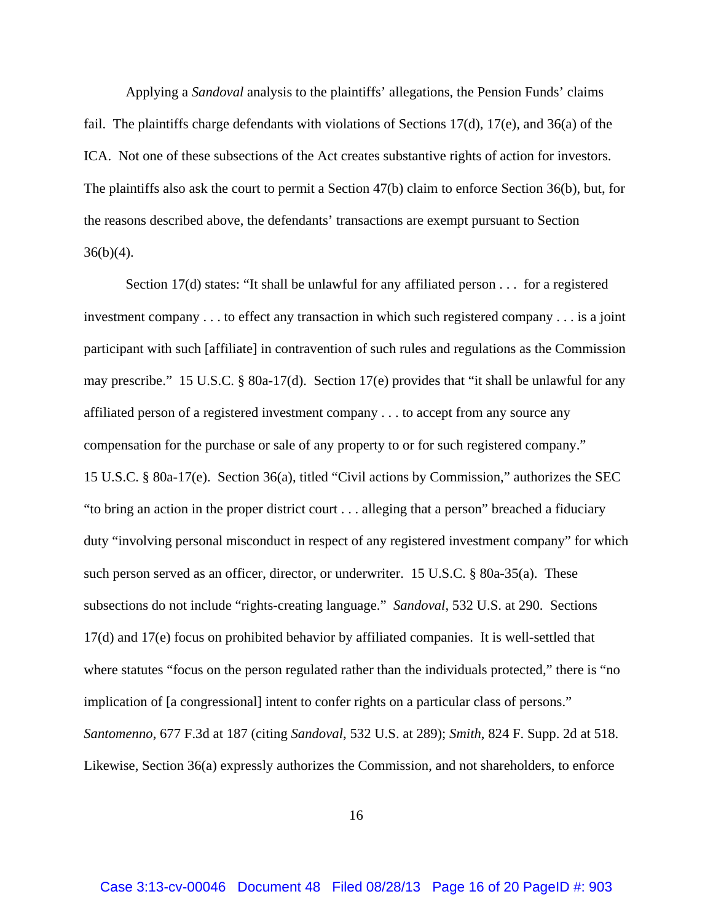Applying a *Sandoval* analysis to the plaintiffs' allegations, the Pension Funds' claims fail. The plaintiffs charge defendants with violations of Sections 17(d), 17(e), and 36(a) of the ICA. Not one of these subsections of the Act creates substantive rights of action for investors. The plaintiffs also ask the court to permit a Section 47(b) claim to enforce Section 36(b), but, for the reasons described above, the defendants' transactions are exempt pursuant to Section  $36(b)(4)$ .

Section 17(d) states: "It shall be unlawful for any affiliated person . . . for a registered investment company . . . to effect any transaction in which such registered company . . . is a joint participant with such [affiliate] in contravention of such rules and regulations as the Commission may prescribe." 15 U.S.C. § 80a-17(d). Section 17(e) provides that "it shall be unlawful for any affiliated person of a registered investment company . . . to accept from any source any compensation for the purchase or sale of any property to or for such registered company." 15 U.S.C. § 80a-17(e). Section 36(a), titled "Civil actions by Commission," authorizes the SEC "to bring an action in the proper district court . . . alleging that a person" breached a fiduciary duty "involving personal misconduct in respect of any registered investment company" for which such person served as an officer, director, or underwriter. 15 U.S.C. § 80a-35(a). These subsections do not include "rights-creating language." *Sandoval*, 532 U.S. at 290. Sections 17(d) and 17(e) focus on prohibited behavior by affiliated companies. It is well-settled that where statutes "focus on the person regulated rather than the individuals protected," there is "no implication of [a congressional] intent to confer rights on a particular class of persons." *Santomenno*, 677 F.3d at 187 (citing *Sandoval*, 532 U.S. at 289); *Smith*, 824 F. Supp. 2d at 518. Likewise, Section 36(a) expressly authorizes the Commission, and not shareholders, to enforce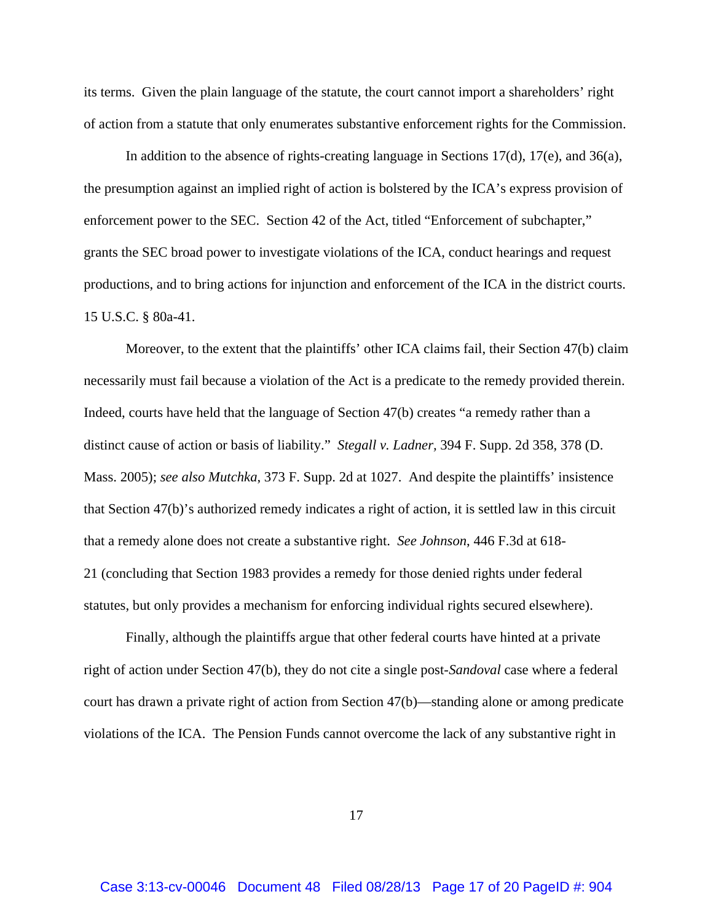its terms. Given the plain language of the statute, the court cannot import a shareholders' right of action from a statute that only enumerates substantive enforcement rights for the Commission.

In addition to the absence of rights-creating language in Sections 17(d), 17(e), and 36(a), the presumption against an implied right of action is bolstered by the ICA's express provision of enforcement power to the SEC. Section 42 of the Act, titled "Enforcement of subchapter," grants the SEC broad power to investigate violations of the ICA, conduct hearings and request productions, and to bring actions for injunction and enforcement of the ICA in the district courts. 15 U.S.C. § 80a-41.

Moreover, to the extent that the plaintiffs' other ICA claims fail, their Section 47(b) claim necessarily must fail because a violation of the Act is a predicate to the remedy provided therein. Indeed, courts have held that the language of Section 47(b) creates "a remedy rather than a distinct cause of action or basis of liability." *Stegall v. Ladner,* 394 F. Supp. 2d 358, 378 (D. Mass. 2005); *see also Mutchka*, 373 F. Supp. 2d at 1027. And despite the plaintiffs' insistence that Section 47(b)'s authorized remedy indicates a right of action, it is settled law in this circuit that a remedy alone does not create a substantive right. *See Johnson*, 446 F.3d at 618- 21 (concluding that Section 1983 provides a remedy for those denied rights under federal statutes, but only provides a mechanism for enforcing individual rights secured elsewhere).

Finally, although the plaintiffs argue that other federal courts have hinted at a private right of action under Section 47(b), they do not cite a single post-*Sandoval* case where a federal court has drawn a private right of action from Section 47(b)—standing alone or among predicate violations of the ICA. The Pension Funds cannot overcome the lack of any substantive right in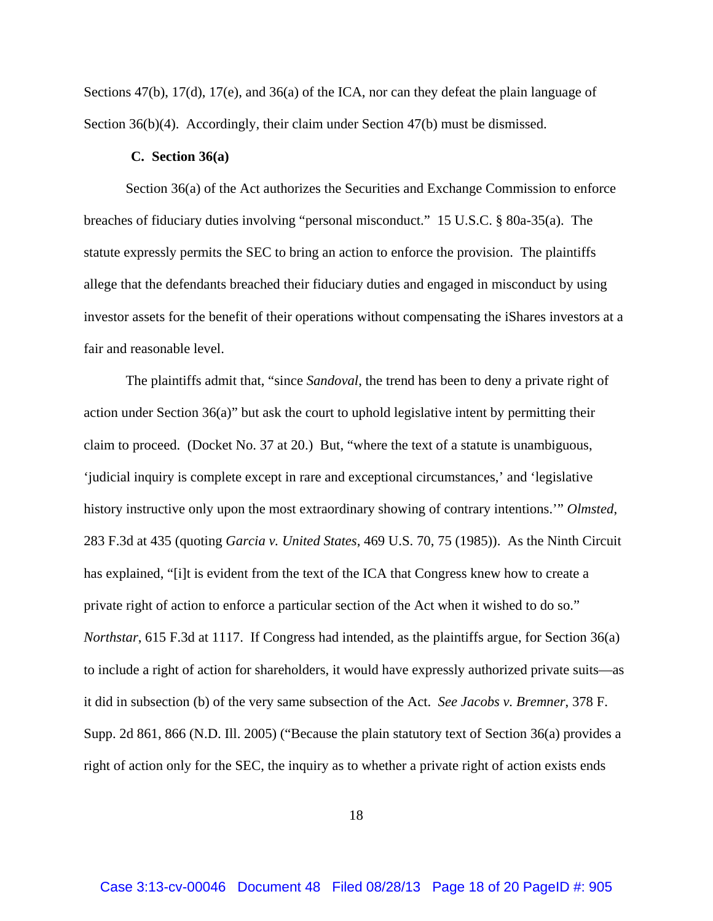Sections 47(b), 17(d), 17(e), and 36(a) of the ICA, nor can they defeat the plain language of Section 36(b)(4). Accordingly, their claim under Section 47(b) must be dismissed.

### **C. Section 36(a)**

Section 36(a) of the Act authorizes the Securities and Exchange Commission to enforce breaches of fiduciary duties involving "personal misconduct." 15 U.S.C. § 80a-35(a). The statute expressly permits the SEC to bring an action to enforce the provision. The plaintiffs allege that the defendants breached their fiduciary duties and engaged in misconduct by using investor assets for the benefit of their operations without compensating the iShares investors at a fair and reasonable level.

The plaintiffs admit that, "since *Sandoval*, the trend has been to deny a private right of action under Section 36(a)" but ask the court to uphold legislative intent by permitting their claim to proceed. (Docket No. 37 at 20.) But, "where the text of a statute is unambiguous, 'judicial inquiry is complete except in rare and exceptional circumstances,' and 'legislative history instructive only upon the most extraordinary showing of contrary intentions.'" *Olmsted*, 283 F.3d at 435 (quoting *Garcia v. United States*, 469 U.S. 70, 75 (1985)). As the Ninth Circuit has explained, "[i]t is evident from the text of the ICA that Congress knew how to create a private right of action to enforce a particular section of the Act when it wished to do so." *Northstar*, 615 F.3d at 1117. If Congress had intended, as the plaintiffs argue, for Section 36(a) to include a right of action for shareholders, it would have expressly authorized private suits—as it did in subsection (b) of the very same subsection of the Act. *See Jacobs v. Bremner*, 378 F. Supp. 2d 861, 866 (N.D. Ill. 2005) ("Because the plain statutory text of Section 36(a) provides a right of action only for the SEC, the inquiry as to whether a private right of action exists ends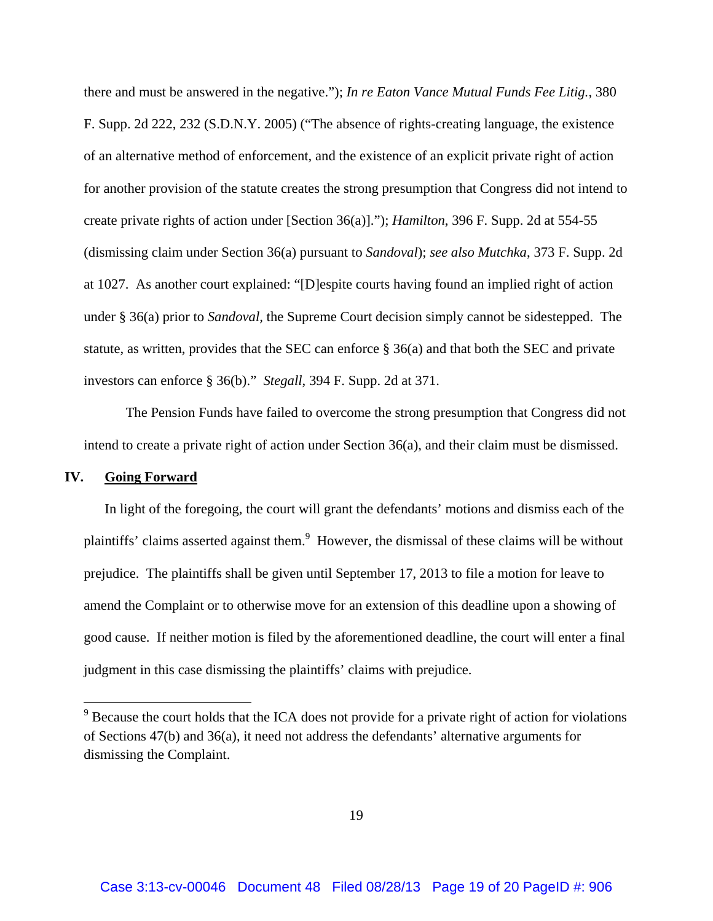there and must be answered in the negative."); *In re Eaton Vance Mutual Funds Fee Litig.*, 380 F. Supp. 2d 222, 232 (S.D.N.Y. 2005) ("The absence of rights-creating language, the existence of an alternative method of enforcement, and the existence of an explicit private right of action for another provision of the statute creates the strong presumption that Congress did not intend to create private rights of action under [Section 36(a)]."); *Hamilton*, 396 F. Supp. 2d at 554-55 (dismissing claim under Section 36(a) pursuant to *Sandoval*); *see also Mutchka*, 373 F. Supp. 2d at 1027. As another court explained: "[D]espite courts having found an implied right of action under § 36(a) prior to *Sandoval,* the Supreme Court decision simply cannot be sidestepped. The statute, as written, provides that the SEC can enforce § 36(a) and that both the SEC and private investors can enforce § 36(b)." *Stegall*, 394 F. Supp. 2d at 371.

The Pension Funds have failed to overcome the strong presumption that Congress did not intend to create a private right of action under Section 36(a), and their claim must be dismissed.

### **IV. Going Forward**

In light of the foregoing, the court will grant the defendants' motions and dismiss each of the plaintiffs' claims asserted against them.<sup>9</sup> However, the dismissal of these claims will be without prejudice. The plaintiffs shall be given until September 17, 2013 to file a motion for leave to amend the Complaint or to otherwise move for an extension of this deadline upon a showing of good cause. If neither motion is filed by the aforementioned deadline, the court will enter a final judgment in this case dismissing the plaintiffs' claims with prejudice.

<sup>&</sup>lt;sup>9</sup> Because the court holds that the ICA does not provide for a private right of action for violations of Sections 47(b) and 36(a), it need not address the defendants' alternative arguments for dismissing the Complaint.